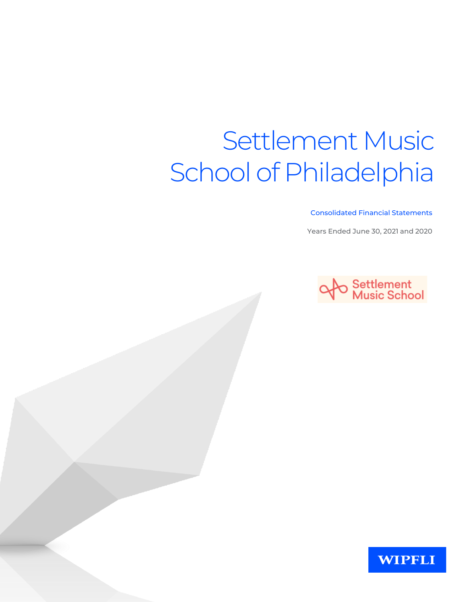Consolidated Financial Statements

Years Ended June 30, 2021 and 2020



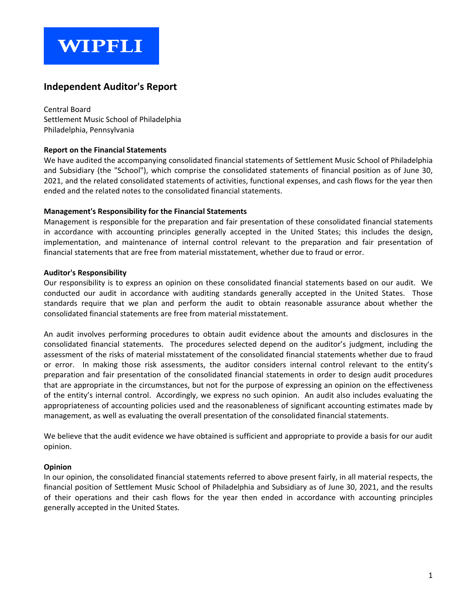# **WIPFLI**

### **Independent Auditor's Report**

Central Board Settlement Music School of Philadelphia Philadelphia, Pennsylvania

### **Report on the Financial Statements**

We have audited the accompanying consolidated financial statements of Settlement Music School of Philadelphia and Subsidiary (the "School"), which comprise the consolidated statements of financial position as of June 30, 2021, and the related consolidated statements of activities, functional expenses, and cash flows for the year then ended and the related notes to the consolidated financial statements.

### **Management's Responsibility for the Financial Statements**

Management is responsible for the preparation and fair presentation of these consolidated financial statements in accordance with accounting principles generally accepted in the United States; this includes the design, implementation, and maintenance of internal control relevant to the preparation and fair presentation of financial statements that are free from material misstatement, whether due to fraud or error.

### **Auditor's Responsibility**

Our responsibility is to express an opinion on these consolidated financial statements based on our audit. We conducted our audit in accordance with auditing standards generally accepted in the United States. Those standards require that we plan and perform the audit to obtain reasonable assurance about whether the consolidated financial statements are free from material misstatement.

An audit involves performing procedures to obtain audit evidence about the amounts and disclosures in the consolidated financial statements. The procedures selected depend on the auditor's judgment, including the assessment of the risks of material misstatement of the consolidated financial statements whether due to fraud or error. In making those risk assessments, the auditor considers internal control relevant to the entity's preparation and fair presentation of the consolidated financial statements in order to design audit procedures that are appropriate in the circumstances, but not for the purpose of expressing an opinion on the effectiveness of the entity's internal control. Accordingly, we express no such opinion. An audit also includes evaluating the appropriateness of accounting policies used and the reasonableness of significant accounting estimates made by management, as well as evaluating the overall presentation of the consolidated financial statements.

We believe that the audit evidence we have obtained is sufficient and appropriate to provide a basis for our audit opinion.

#### **Opinion**

In our opinion, the consolidated financial statements referred to above present fairly, in all material respects, the financial position of Settlement Music School of Philadelphia and Subsidiary as of June 30, 2021, and the results of their operations and their cash flows for the year then ended in accordance with accounting principles generally accepted in the United States.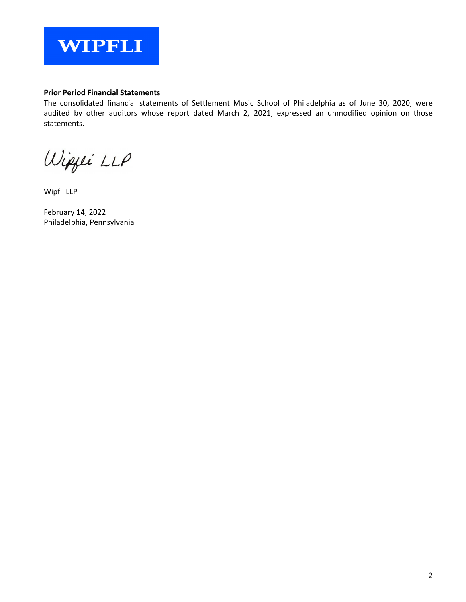

#### **Prior Period Financial Statements**

The consolidated financial statements of Settlement Music School of Philadelphia as of June 30, 2020, were audited by other auditors whose report dated March 2, 2021, expressed an unmodified opinion on those statements.

Wippei LLP

Wipfli LLP

February 14, 2022 Philadelphia, Pennsylvania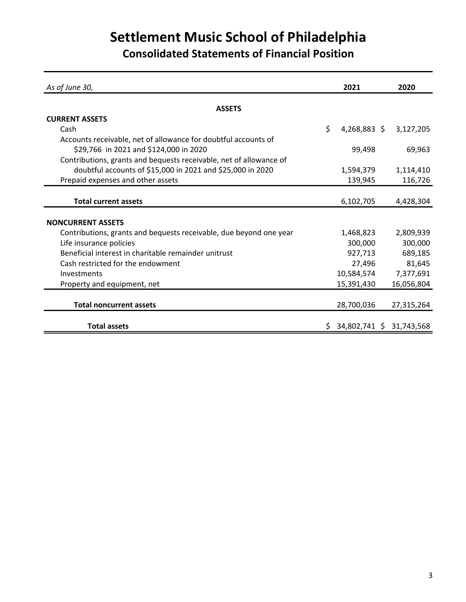# **Consolidated Statements of Financial Position**

| As of June 30,                                                     |    | 2021         | 2020                     |
|--------------------------------------------------------------------|----|--------------|--------------------------|
| <b>ASSETS</b>                                                      |    |              |                          |
| <b>CURRENT ASSETS</b>                                              |    |              |                          |
| Cash                                                               | \$ | 4,268,883 \$ | 3,127,205                |
| Accounts receivable, net of allowance for doubtful accounts of     |    |              |                          |
| \$29,766 in 2021 and \$124,000 in 2020                             |    | 99,498       | 69,963                   |
| Contributions, grants and bequests receivable, net of allowance of |    |              |                          |
| doubtful accounts of \$15,000 in 2021 and \$25,000 in 2020         |    | 1,594,379    | 1,114,410                |
| Prepaid expenses and other assets                                  |    | 139,945      | 116,726                  |
|                                                                    |    |              |                          |
| <b>Total current assets</b>                                        |    | 6,102,705    | 4,428,304                |
|                                                                    |    |              |                          |
| <b>NONCURRENT ASSETS</b>                                           |    |              |                          |
| Contributions, grants and bequests receivable, due beyond one year |    | 1,468,823    | 2,809,939                |
| Life insurance policies                                            |    | 300,000      | 300,000                  |
| Beneficial interest in charitable remainder unitrust               |    | 927,713      | 689,185                  |
| Cash restricted for the endowment                                  |    | 27,496       | 81,645                   |
| Investments                                                        |    | 10,584,574   | 7,377,691                |
| Property and equipment, net                                        |    | 15,391,430   | 16,056,804               |
|                                                                    |    |              |                          |
| <b>Total noncurrent assets</b>                                     |    | 28,700,036   | 27,315,264               |
|                                                                    |    |              |                          |
| <b>Total assets</b>                                                | S  |              | 34,802,741 \$ 31,743,568 |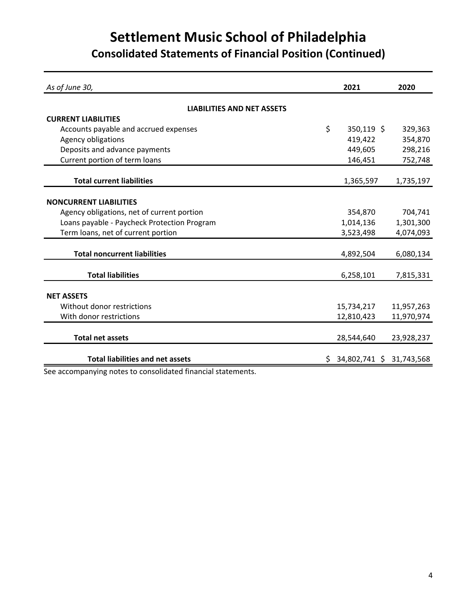# **Consolidated Statements of Financial Position (Continued)**

| As of June 30,                              |     | 2021                     | 2020       |
|---------------------------------------------|-----|--------------------------|------------|
| <b>LIABILITIES AND NET ASSETS</b>           |     |                          |            |
| <b>CURRENT LIABILITIES</b>                  |     |                          |            |
| Accounts payable and accrued expenses       | \$  | 350,119 \$               | 329,363    |
| Agency obligations                          |     | 419,422                  | 354,870    |
| Deposits and advance payments               |     | 449,605                  | 298,216    |
| Current portion of term loans               |     | 146,451                  | 752,748    |
|                                             |     |                          |            |
| <b>Total current liabilities</b>            |     | 1,365,597                | 1,735,197  |
|                                             |     |                          |            |
| <b>NONCURRENT LIABILITIES</b>               |     |                          |            |
| Agency obligations, net of current portion  |     | 354,870                  | 704,741    |
| Loans payable - Paycheck Protection Program |     | 1,014,136                | 1,301,300  |
| Term loans, net of current portion          |     | 3,523,498                | 4,074,093  |
| <b>Total noncurrent liabilities</b>         |     | 4,892,504                | 6,080,134  |
| <b>Total liabilities</b>                    |     | 6,258,101                | 7,815,331  |
|                                             |     |                          |            |
| <b>NET ASSETS</b>                           |     |                          |            |
| Without donor restrictions                  |     | 15,734,217               | 11,957,263 |
| With donor restrictions                     |     | 12,810,423               | 11,970,974 |
|                                             |     |                          |            |
| <b>Total net assets</b>                     |     | 28,544,640               | 23,928,237 |
| <b>Total liabilities and net assets</b>     | \$. | 34,802,741 \$ 31,743,568 |            |

See accompanying notes to consolidated financial statements.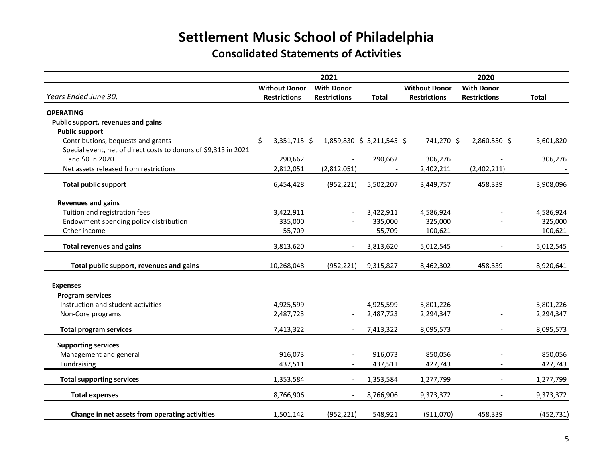# **Consolidated Statements of Activities**

|                                                                 |                                           | 2021                |                           | 2020                 |                          |              |  |  |
|-----------------------------------------------------------------|-------------------------------------------|---------------------|---------------------------|----------------------|--------------------------|--------------|--|--|
|                                                                 | <b>With Donor</b><br><b>Without Donor</b> |                     |                           | <b>Without Donor</b> |                          |              |  |  |
| Years Ended June 30,                                            | <b>Restrictions</b>                       | <b>Restrictions</b> | <b>Total</b>              | <b>Restrictions</b>  | <b>Restrictions</b>      | <b>Total</b> |  |  |
| <b>OPERATING</b>                                                |                                           |                     |                           |                      |                          |              |  |  |
| Public support, revenues and gains                              |                                           |                     |                           |                      |                          |              |  |  |
| <b>Public support</b>                                           |                                           |                     |                           |                      |                          |              |  |  |
| Contributions, bequests and grants                              | Ś.<br>3,351,715 \$                        |                     | 1,859,830 \$ 5,211,545 \$ | 741,270 \$           | 2,860,550 \$             | 3,601,820    |  |  |
| Special event, net of direct costs to donors of \$9,313 in 2021 |                                           |                     |                           |                      |                          |              |  |  |
| and \$0 in 2020                                                 | 290,662                                   |                     | 290,662                   | 306,276              |                          | 306,276      |  |  |
| Net assets released from restrictions                           | 2,812,051                                 | (2,812,051)         |                           | 2,402,211            | (2,402,211)              |              |  |  |
| <b>Total public support</b>                                     | 6,454,428                                 | (952, 221)          | 5,502,207                 | 3,449,757            | 458,339                  | 3,908,096    |  |  |
| <b>Revenues and gains</b>                                       |                                           |                     |                           |                      |                          |              |  |  |
| Tuition and registration fees                                   | 3,422,911                                 |                     | 3,422,911                 | 4,586,924            |                          | 4,586,924    |  |  |
| Endowment spending policy distribution                          | 335,000                                   |                     | 335,000                   | 325,000              |                          | 325,000      |  |  |
| Other income                                                    | 55,709                                    |                     | 55,709                    | 100,621              | $\blacksquare$           | 100,621      |  |  |
| <b>Total revenues and gains</b>                                 | 3,813,620                                 |                     | 3,813,620                 | 5,012,545            |                          | 5,012,545    |  |  |
| Total public support, revenues and gains                        | 10,268,048                                | (952, 221)          | 9,315,827                 | 8,462,302            | 458,339                  | 8,920,641    |  |  |
| <b>Expenses</b>                                                 |                                           |                     |                           |                      |                          |              |  |  |
| <b>Program services</b>                                         |                                           |                     |                           |                      |                          |              |  |  |
| Instruction and student activities                              | 4,925,599                                 |                     | 4,925,599                 | 5,801,226            |                          | 5,801,226    |  |  |
| Non-Core programs                                               | 2,487,723                                 |                     | 2,487,723                 | 2,294,347            |                          | 2,294,347    |  |  |
| <b>Total program services</b>                                   | 7,413,322                                 | $\sim$              | 7,413,322                 | 8,095,573            | $\overline{\phantom{a}}$ | 8,095,573    |  |  |
| <b>Supporting services</b>                                      |                                           |                     |                           |                      |                          |              |  |  |
| Management and general                                          | 916,073                                   |                     | 916,073                   | 850,056              |                          | 850,056      |  |  |
| Fundraising                                                     | 437,511                                   |                     | 437,511                   | 427,743              |                          | 427,743      |  |  |
| <b>Total supporting services</b>                                | 1,353,584                                 |                     | 1,353,584                 | 1,277,799            |                          | 1,277,799    |  |  |
| <b>Total expenses</b>                                           | 8,766,906                                 |                     | 8,766,906                 | 9,373,372            |                          | 9,373,372    |  |  |
| Change in net assets from operating activities                  | 1,501,142                                 | (952, 221)          | 548,921                   | (911,070)            | 458,339                  | (452, 731)   |  |  |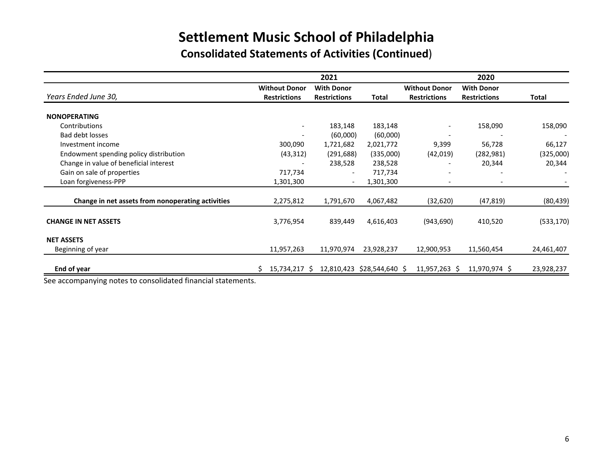# **Consolidated Statements of Activities (Continued**)

|                                                   |                      | 2021                |                  |                      | 2020                |              |
|---------------------------------------------------|----------------------|---------------------|------------------|----------------------|---------------------|--------------|
|                                                   | <b>Without Donor</b> | <b>With Donor</b>   |                  | <b>Without Donor</b> | <b>With Donor</b>   |              |
| Years Ended June 30,                              | <b>Restrictions</b>  | <b>Restrictions</b> | <b>Total</b>     | <b>Restrictions</b>  | <b>Restrictions</b> | <b>Total</b> |
| <b>NONOPERATING</b>                               |                      |                     |                  |                      |                     |              |
| Contributions                                     |                      | 183,148             | 183,148          |                      | 158,090             | 158,090      |
| Bad debt losses                                   |                      | (60,000)            | (60,000)         |                      |                     |              |
| Investment income                                 | 300,090              | 1,721,682           | 2,021,772        | 9,399                | 56,728              | 66,127       |
| Endowment spending policy distribution            | (43, 312)            | (291, 688)          | (335,000)        | (42, 019)            | (282, 981)          | (325,000)    |
| Change in value of beneficial interest            |                      | 238,528             | 238,528          |                      | 20,344              | 20,344       |
| Gain on sale of properties                        | 717,734              |                     | 717,734          |                      |                     |              |
| Loan forgiveness-PPP                              | 1,301,300            |                     | 1,301,300        |                      |                     |              |
| Change in net assets from nonoperating activities | 2,275,812            | 1,791,670           | 4,067,482        | (32,620)             | (47, 819)           | (80, 439)    |
| <b>CHANGE IN NET ASSETS</b>                       | 3,776,954            | 839,449             | 4,616,403        | (943, 690)           | 410,520             | (533, 170)   |
| <b>NET ASSETS</b>                                 |                      |                     |                  |                      |                     |              |
| Beginning of year                                 | 11,957,263           | 11,970,974          | 23,928,237       | 12,900,953           | 11,560,454          | 24,461,407   |
| End of year                                       | 15,734,217 \$        | 12,810,423          | $$28,544,640$ \$ | 11,957,263 \$        | 11,970,974 \$       | 23,928,237   |

See accompanying notes to consolidated financial statements.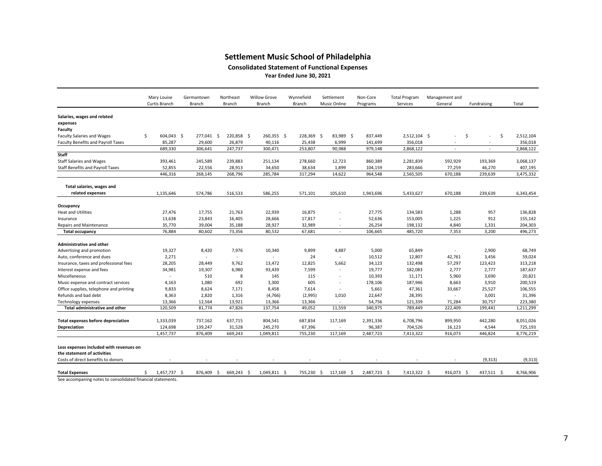**Consolidated Statement of Functional Expenses**

**Year Ended June 30, 2021**

|                                                             | Mary Louise       | Germantown | Northeast        | <b>Willow Grove</b> | Wynnefield    | Settlement               | Non-Core     | <b>Total Program</b> | Management and           |                    |           |
|-------------------------------------------------------------|-------------------|------------|------------------|---------------------|---------------|--------------------------|--------------|----------------------|--------------------------|--------------------|-----------|
|                                                             | Curtis Branch     | Branch     | Branch           | Branch              | <b>Branch</b> | Music Online             | Programs     | Services             | General                  | Fundraising        | Total     |
|                                                             |                   |            |                  |                     |               |                          |              |                      |                          |                    |           |
| Salaries, wages and related<br>expenses                     |                   |            |                  |                     |               |                          |              |                      |                          |                    |           |
|                                                             |                   |            |                  |                     |               |                          |              |                      |                          |                    |           |
| <b>Faculty</b><br><b>Faculty Salaries and Wages</b>         | \$<br>604,043 \$  | 277,041 \$ | 220,858 \$       | 260,355 \$          | 228,369 \$    | 83,989 \$                | 837,449      | 2,512,104 \$         |                          | \$<br>\$           | 2,512,104 |
| <b>Faculty Benefits and Payroll Taxes</b>                   | 85,287            | 29,600     | 26,879           | 40,116              | 25,438        | 6,999                    | 141,699      | 356,018              |                          |                    | 356,018   |
|                                                             | 689,330           | 306,641    | 247,737          | 300,471             | 253,807       | 90,988                   | 979,148      | 2,868,122            | $\overline{\phantom{a}}$ |                    | 2,868,122 |
| Staff                                                       |                   |            |                  |                     |               |                          |              |                      |                          |                    |           |
| <b>Staff Salaries and Wages</b>                             | 393,461           | 245,589    | 239,883          | 251,134             | 278,660       | 12,723                   | 860,389      | 2,281,839            | 592,929                  | 193,369            | 3,068,137 |
| <b>Staff Benefits and Payroll Taxes</b>                     | 52,855            | 22,556     | 28,913           | 34,650              | 38,634        | 1,899                    | 104,159      | 283,666              | 77,259                   | 46,270             | 407,195   |
|                                                             | 446,316           | 268,145    | 268,796          | 285,784             | 317,294       | 14,622                   | 964,548      | 2,565,505            | 670,188                  | 239,639            | 3,475,332 |
| Total salaries, wages and                                   |                   |            |                  |                     |               |                          |              |                      |                          |                    |           |
| related expenses                                            | 1,135,646         | 574,786    | 516,533          | 586,255             | 571,101       | 105,610                  | 1,943,696    | 5,433,627            | 670,188                  | 239,639            | 6,343,454 |
| Occupancy                                                   |                   |            |                  |                     |               |                          |              |                      |                          |                    |           |
| <b>Heat and Utilities</b>                                   | 27,476            | 17,755     | 21,763           | 22,939              | 16,875        |                          | 27,775       | 134,583              | 1,288                    | 957                | 136,828   |
| Insurance                                                   | 13,638            | 23,843     | 16,405           | 28,666              | 17,817        |                          | 52,636       | 153,005              | 1,225                    | 912                | 155,142   |
| Repairs and Maintenance                                     | 35,770            | 39,004     | 35,188           | 28,927              | 32,989        | $\overline{\phantom{a}}$ | 26,254       | 198,132              | 4,840                    | 1,331              | 204,303   |
| <b>Total occupancy</b>                                      | 76,884            | 80,602     | 73,356           | 80,532              | 67,681        | $\sim$                   | 106,665      | 485,720              | 7,353                    | 3,200              | 496,273   |
|                                                             |                   |            |                  |                     |               |                          |              |                      |                          |                    |           |
| Administrative and other                                    |                   |            |                  |                     |               |                          |              |                      |                          |                    |           |
| Advertising and promotion                                   | 19,327            | 8,420      | 7,976            | 10,340              | 9,899         | 4,887                    | 5,000        | 65,849               | $\overline{\phantom{a}}$ | 2,900              | 68,749    |
| Auto, conference and dues                                   | 2,271             | $\sim$     | $\sim$           | $\sim$              | 24            | $\sim$                   | 10,512       | 12,807               | 42,761                   | 3,456              | 59,024    |
| Insurance, taxes and professional fees                      | 28,205            | 28,449     | 9,762            | 13,472              | 12,825        | 5,662                    | 34,123       | 132,498              | 57,297                   | 123,423            | 313,218   |
| Interest expense and fees                                   | 34,981            | 19,307     | 6,980            | 93,439              | 7,599         |                          | 19,777       | 182,083              | 2,777                    | 2,777              | 187,637   |
| Miscellaneous                                               | $\sim$            | 510        | 8                | 145                 | 115           |                          | 10,393       | 11,171               | 5,960                    | 3,690              | 20,821    |
| Music expense and contract services                         | 4,163             | 1,080      | 692              | 3,300               | 605           |                          | 178,106      | 187,946              | 8,663                    | 3,910              | 200,519   |
| Office supplies, telephone and printing                     | 9,833             | 8,624      | 7,171            | 8,458               | 7,614         | ٠                        | 5,661        | 47,361               | 33,667                   | 25,527             | 106,555   |
| Refunds and bad debt                                        | 8,363             | 2,820      | 1,316            | (4, 766)            | (2,995)       | 1,010                    | 22,647       | 28,395               | $\blacksquare$           | 3,001              | 31,396    |
| Technology expenses                                         | 13,366            | 12,564     | 13,921           | 13,366              | 13,366        |                          | 54,756       | 121,339              | 71,284                   | 30,757             | 223,380   |
| Total administrative and other                              | 120,509           | 81,774     | 47,826           | 137,754             | 49,052        | 11,559                   | 340,975      | 789,449              | 222,409                  | 199,441            | 1,211,299 |
| Total expenses before depreciation                          | 1,333,039         | 737,162    | 637,715          | 804,541             | 687,834       | 117,169                  | 2,391,336    | 6,708,796            | 899,950                  | 442,280            | 8,051,026 |
| Depreciation                                                | 124,698           | 139,247    | 31,528           | 245,270             | 67,396        | $\sim$                   | 96,387       | 704,526              | 16,123                   | 4,544              | 725,193   |
|                                                             | 1,457,737         | 876,409    | 669,243          | 1,049,811           | 755,230       | 117,169                  | 2,487,723    | 7,413,322            | 916,073                  | 446,824            | 8,776,219 |
| Less expenses included with revenues on                     |                   |            |                  |                     |               |                          |              |                      |                          |                    |           |
| the statement of activities                                 |                   |            |                  |                     |               |                          |              |                      |                          |                    |           |
| Costs of direct benefits to donors                          |                   |            |                  |                     |               |                          |              |                      |                          | (9, 313)           | (9, 313)  |
|                                                             |                   |            |                  |                     |               |                          |              |                      |                          |                    |           |
| <b>Total Expenses</b>                                       | 1,457,737 \$<br>Ŝ | 876,409    | 669,243 \$<br>-S | 1,049,811 \$        | 755,230       | 117,169 \$<br>-\$        | 2,487,723 \$ | 7,413,322 \$         | 916,073                  | 437,511 \$<br>- \$ | 8,766,906 |
| See accompaning notes to consolidated financial statements. |                   |            |                  |                     |               |                          |              |                      |                          |                    |           |

7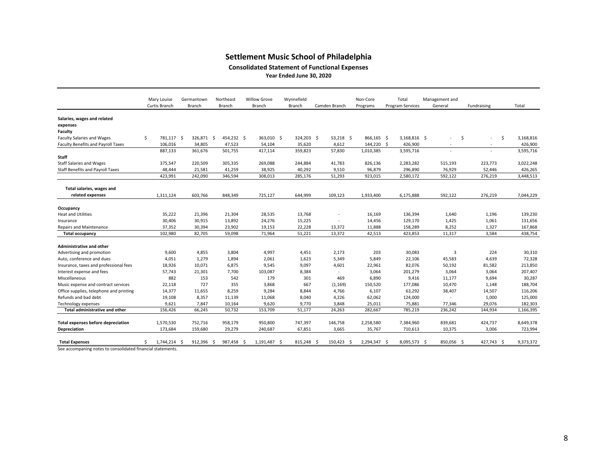**Consolidated Statement of Functional Expenses**

**Year Ended June 30, 2020**

|                                           | Mary Louise                                           | Germantown | Northeast         | <b>Willow Grove</b> | Wynnefield |               | Non-Core     | Total            | Management and |                          |                 |
|-------------------------------------------|-------------------------------------------------------|------------|-------------------|---------------------|------------|---------------|--------------|------------------|----------------|--------------------------|-----------------|
|                                           | Curtis Branch                                         | Branch     | Branch            | Branch              | Branch     | Camden Branch | Programs     | Program Services | General        | Fundraising              | Total           |
| Salaries, wages and related               |                                                       |            |                   |                     |            |               |              |                  |                |                          |                 |
| expenses                                  |                                                       |            |                   |                     |            |               |              |                  |                |                          |                 |
| <b>Faculty</b>                            |                                                       |            |                   |                     |            |               |              |                  |                |                          |                 |
| <b>Faculty Salaries and Wages</b>         | Ŝ.<br>781,117 \$                                      | 326,871 \$ | 454,232 \$        | 363,010 \$          | 324,203 \$ | 53,218 \$     | 866,165 \$   | 3,168,816 \$     |                | \$<br>$\blacksquare$     | \$<br>3,168,816 |
| Faculty Benefits and Payroll Taxes        | 106,016                                               | 34,805     | 47,523            | 54,104              | 35,620     | 4,612         | 144,220 \$   | 426,900          |                |                          | 426,900         |
|                                           | 887,133                                               | 361,676    | 501,755           | 417,114             | 359,823    | 57,830        | 1,010,385    | 3,595,716        | $\sim$         | $\overline{\phantom{a}}$ | 3,595,716       |
| Staff                                     |                                                       |            |                   |                     |            |               |              |                  |                |                          |                 |
| <b>Staff Salaries and Wages</b>           | 375,547                                               | 220,509    | 305,335           | 269,088             | 244,884    | 41,783        | 826,136      | 2,283,282        | 515,193        | 223,773                  | 3,022,248       |
| <b>Staff Benefits and Payroll Taxes</b>   | 48,444                                                | 21,581     | 41,259            | 38,925              | 40,292     | 9,510         | 96,879       | 296,890          | 76,929         | 52,446                   | 426,265         |
|                                           | 423,991                                               | 242,090    | 346,594           | 308,013             | 285,176    | 51,293        | 923,015      | 2,580,172        | 592,122        | 276,219                  | 3,448,513       |
| Total salaries, wages and                 |                                                       |            |                   |                     |            |               |              |                  |                |                          |                 |
| related expenses                          | 1,311,124                                             | 603,766    | 848,349           | 725,127             | 644,999    | 109,123       | 1,933,400    | 6,175,888        | 592,122        | 276,219                  | 7,044,229       |
|                                           |                                                       |            |                   |                     |            |               |              |                  |                |                          |                 |
| Occupancy                                 |                                                       |            |                   |                     |            |               |              |                  |                |                          |                 |
| <b>Heat and Utilities</b>                 | 35,222                                                | 21,396     | 21,304            | 28,535              | 13,768     |               | 16,169       | 136,394          | 1,640          | 1,196                    | 139,230         |
| Insurance                                 | 30,406                                                | 30,915     | 13,892            | 24,276              | 15,225     | $\bar{a}$     | 14,456       | 129,170          | 1,425          | 1,061                    | 131,656         |
| Repairs and Maintenance                   | 37,352                                                | 30,394     | 23,902            | 19,153              | 22,228     | 13,372        | 11,888       | 158,289          | 8,252          | 1,327                    | 167,868         |
| <b>Total occupancy</b>                    | 102,980                                               | 82,705     | 59,098            | 71,964              | 51,221     | 13,372        | 42,513       | 423,853          | 11,317         | 3,584                    | 438,754         |
| Administrative and other                  |                                                       |            |                   |                     |            |               |              |                  |                |                          |                 |
| Advertising and promotion                 | 9,600                                                 | 4,855      | 3,804             | 4,997               | 4,451      | 2,173         | 203          | 30,083           | 3              | 224                      | 30,310          |
| Auto, conference and dues                 | 4,051                                                 | 1,279      | 1,894             | 2,061               | 1,623      | 5,349         | 5,849        | 22,106           | 45,583         | 4,639                    | 72,328          |
| Insurance, taxes and professional fees    | 18,926                                                | 10,071     | 6,875             | 9,545               | 9,097      | 4,601         | 22,961       | 82,076           | 50,192         | 81,582                   | 213,850         |
| Interest expense and fees                 | 57,743                                                | 21,301     | 7,700             | 103,087             | 8,384      | $\omega$      | 3,064        | 201,279          | 3,064          | 3,064                    | 207,407         |
| Miscellaneous                             | 882                                                   | 153        | 542               | 179                 | 301        | 469           | 6,890        | 9,416            | 11,177         | 9,694                    | 30,287          |
| Music expense and contract services       | 22,118                                                | 727        | 355               | 3,868               | 667        | (1, 169)      | 150,520      | 177,086          | 10,470         | 1,148                    | 188,704         |
| Office supplies, telephone and printing   | 14,377                                                | 11,655     | 8,259             | 9,284               | 8,844      | 4,766         | 6,107        | 63,292           | 38,407         | 14,507                   | 116,206         |
| Refunds and bad debt                      | 19,108                                                | 8,357      | 11,139            | 11,068              | 8,040      | 4,226         | 62,062       | 124,000          | ٠              | 1,000                    | 125,000         |
| <b>Technology expenses</b>                | 9,621                                                 | 7,847      | 10,164            | 9,620               | 9,770      | 3,848         | 25,011       | 75,881           | 77,346         | 29,076                   | 182,303         |
| Total administrative and other            | 156,426                                               | 66,245     | 50,732            | 153,709             | 51,177     | 24,263        | 282,667      | 785,219          | 236,242        | 144,934                  | 1,166,395       |
| <b>Total expenses before depreciation</b> | 1,570,530                                             | 752,716    | 958,179           | 950,800             | 747,397    | 146,758       | 2,258,580    | 7,384,960        | 839,681        | 424,737                  | 8,649,378       |
| Depreciation                              | 173,684                                               | 159,680    | 29,279            | 240,687             | 67,851     | 3,665         | 35,767       | 710,613          | 10,375         | 3,006                    | 723,994         |
|                                           |                                                       |            |                   |                     |            |               |              |                  |                |                          |                 |
| <b>Total Expenses</b>                     | $1,744,214$ \$<br>Ś<br>المتمام متحتك الممشماء تالممام | 912,396    | 987,458 \$<br>- Ś | 1,191,487 \$        | 815,248 \$ | 150,423 \$    | 2,294,347 \$ | 8,095,573 \$     | 850,056 \$     | 427,743 \$               | 9,373,372       |

See accompaning notes to consolidated financial statements.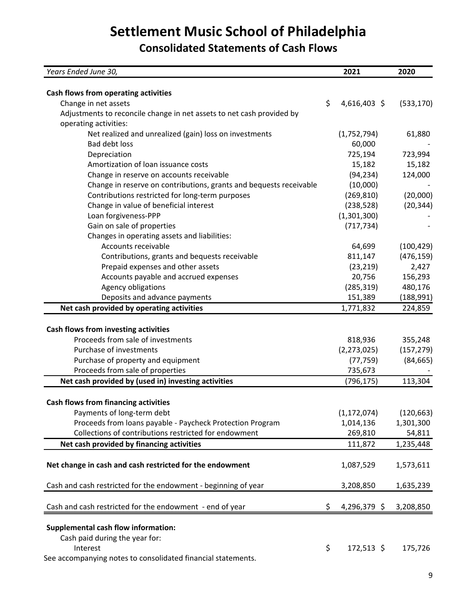# **Consolidated Statements of Cash Flows**

| Years Ended June 30,                                                  | 2021               | 2020       |
|-----------------------------------------------------------------------|--------------------|------------|
|                                                                       |                    |            |
| Cash flows from operating activities<br>Change in net assets          | \$<br>4,616,403 \$ | (533, 170) |
| Adjustments to reconcile change in net assets to net cash provided by |                    |            |
| operating activities:                                                 |                    |            |
| Net realized and unrealized (gain) loss on investments                | (1,752,794)        | 61,880     |
| Bad debt loss                                                         | 60,000             |            |
| Depreciation                                                          | 725,194            | 723,994    |
| Amortization of loan issuance costs                                   | 15,182             | 15,182     |
| Change in reserve on accounts receivable                              | (94, 234)          | 124,000    |
| Change in reserve on contributions, grants and bequests receivable    | (10,000)           |            |
| Contributions restricted for long-term purposes                       | (269, 810)         | (20,000)   |
|                                                                       |                    |            |
| Change in value of beneficial interest                                | (238, 528)         | (20, 344)  |
| Loan forgiveness-PPP                                                  | (1,301,300)        |            |
| Gain on sale of properties                                            | (717, 734)         |            |
| Changes in operating assets and liabilities:                          |                    |            |
| Accounts receivable                                                   | 64,699             | (100, 429) |
| Contributions, grants and bequests receivable                         | 811,147            | (476, 159) |
| Prepaid expenses and other assets                                     | (23, 219)          | 2,427      |
| Accounts payable and accrued expenses                                 | 20,756             | 156,293    |
| Agency obligations                                                    | (285, 319)         | 480,176    |
| Deposits and advance payments                                         | 151,389            | (188,991)  |
| Net cash provided by operating activities                             | 1,771,832          | 224,859    |
| <b>Cash flows from investing activities</b>                           |                    |            |
| Proceeds from sale of investments                                     | 818,936            | 355,248    |
| Purchase of investments                                               | (2, 273, 025)      | (157, 279) |
|                                                                       | (77, 759)          |            |
| Purchase of property and equipment                                    |                    | (84, 665)  |
| Proceeds from sale of properties                                      | 735,673            |            |
| Net cash provided by (used in) investing activities                   | (796, 175)         | 113,304    |
| <b>Cash flows from financing activities</b>                           |                    |            |
| Payments of long-term debt                                            | (1, 172, 074)      | (120, 663) |
| Proceeds from loans payable - Paycheck Protection Program             | 1,014,136          | 1,301,300  |
| Collections of contributions restricted for endowment                 | 269,810            | 54,811     |
| Net cash provided by financing activities                             | 111,872            | 1,235,448  |
|                                                                       |                    |            |
| Net change in cash and cash restricted for the endowment              | 1,087,529          | 1,573,611  |
| Cash and cash restricted for the endowment - beginning of year        | 3,208,850          | 1,635,239  |
| Cash and cash restricted for the endowment - end of year              | \$<br>4,296,379 \$ | 3,208,850  |
|                                                                       |                    |            |
| <b>Supplemental cash flow information:</b>                            |                    |            |
| Cash paid during the year for:                                        |                    |            |
| Interest                                                              | \$<br>$172,513$ \$ | 175,726    |
| See accompanying notes to consolidated financial statements.          |                    |            |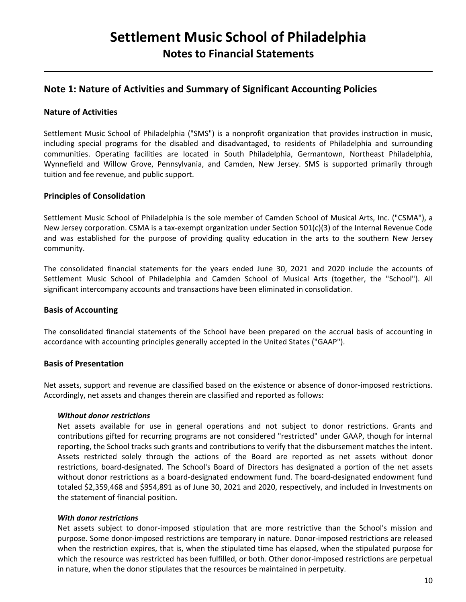### **Note 1: Nature of Activities and Summary of Significant Accounting Policies**

### **Nature of Activities**

Settlement Music School of Philadelphia ("SMS") is a nonprofit organization that provides instruction in music, including special programs for the disabled and disadvantaged, to residents of Philadelphia and surrounding communities. Operating facilities are located in South Philadelphia, Germantown, Northeast Philadelphia, Wynnefield and Willow Grove, Pennsylvania, and Camden, New Jersey. SMS is supported primarily through tuition and fee revenue, and public support.

### **Principles of Consolidation**

Settlement Music School of Philadelphia is the sole member of Camden School of Musical Arts, Inc. ("CSMA"), a New Jersey corporation. CSMA is a tax-exempt organization under Section 501(c)(3) of the Internal Revenue Code and was established for the purpose of providing quality education in the arts to the southern New Jersey community.

The consolidated financial statements for the years ended June 30, 2021 and 2020 include the accounts of Settlement Music School of Philadelphia and Camden School of Musical Arts (together, the "School"). All significant intercompany accounts and transactions have been eliminated in consolidation.

#### **Basis of Accounting**

The consolidated financial statements of the School have been prepared on the accrual basis of accounting in accordance with accounting principles generally accepted in the United States ("GAAP").

#### **Basis of Presentation**

Net assets, support and revenue are classified based on the existence or absence of donor-imposed restrictions. Accordingly, net assets and changes therein are classified and reported as follows:

#### *Without donor restrictions*

Net assets available for use in general operations and not subject to donor restrictions. Grants and contributions gifted for recurring programs are not considered "restricted" under GAAP, though for internal reporting, the School tracks such grants and contributions to verify that the disbursement matches the intent. Assets restricted solely through the actions of the Board are reported as net assets without donor restrictions, board-designated. The School's Board of Directors has designated a portion of the net assets without donor restrictions as a board-designated endowment fund. The board-designated endowment fund totaled \$2,359,468 and \$954,891 as of June 30, 2021 and 2020, respectively, and included in Investments on the statement of financial position.

#### *With donor restrictions*

Net assets subject to donor-imposed stipulation that are more restrictive than the School's mission and purpose. Some donor-imposed restrictions are temporary in nature. Donor-imposed restrictions are released when the restriction expires, that is, when the stipulated time has elapsed, when the stipulated purpose for which the resource was restricted has been fulfilled, or both. Other donor-imposed restrictions are perpetual in nature, when the donor stipulates that the resources be maintained in perpetuity.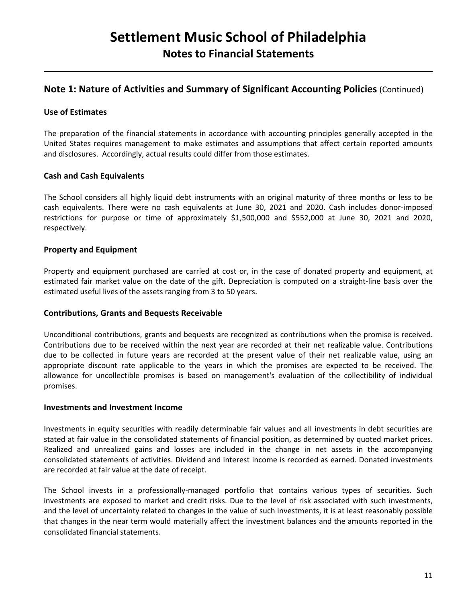### **Note 1: Nature of Activities and Summary of Significant Accounting Policies** (Continued)

### **Use of Estimates**

The preparation of the financial statements in accordance with accounting principles generally accepted in the United States requires management to make estimates and assumptions that affect certain reported amounts and disclosures. Accordingly, actual results could differ from those estimates.

### **Cash and Cash Equivalents**

The School considers all highly liquid debt instruments with an original maturity of three months or less to be cash equivalents. There were no cash equivalents at June 30, 2021 and 2020. Cash includes donor-imposed restrictions for purpose or time of approximately \$1,500,000 and \$552,000 at June 30, 2021 and 2020, respectively.

### **Property and Equipment**

Property and equipment purchased are carried at cost or, in the case of donated property and equipment, at estimated fair market value on the date of the gift. Depreciation is computed on a straight-line basis over the estimated useful lives of the assets ranging from 3 to 50 years.

#### **Contributions, Grants and Bequests Receivable**

Unconditional contributions, grants and bequests are recognized as contributions when the promise is received. Contributions due to be received within the next year are recorded at their net realizable value. Contributions due to be collected in future years are recorded at the present value of their net realizable value, using an appropriate discount rate applicable to the years in which the promises are expected to be received. The allowance for uncollectible promises is based on management's evaluation of the collectibility of individual promises.

#### **Investments and Investment Income**

Investments in equity securities with readily determinable fair values and all investments in debt securities are stated at fair value in the consolidated statements of financial position, as determined by quoted market prices. Realized and unrealized gains and losses are included in the change in net assets in the accompanying consolidated statements of activities. Dividend and interest income is recorded as earned. Donated investments are recorded at fair value at the date of receipt.

The School invests in a professionally-managed portfolio that contains various types of securities. Such investments are exposed to market and credit risks. Due to the level of risk associated with such investments, and the level of uncertainty related to changes in the value of such investments, it is at least reasonably possible that changes in the near term would materially affect the investment balances and the amounts reported in the consolidated financial statements.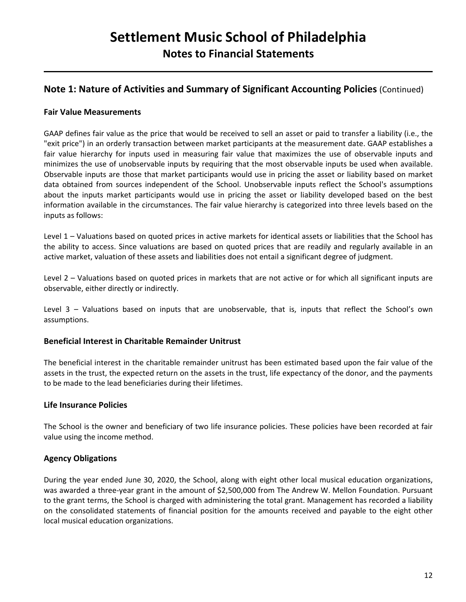### **Note 1: Nature of Activities and Summary of Significant Accounting Policies** (Continued)

### **Fair Value Measurements**

GAAP defines fair value as the price that would be received to sell an asset or paid to transfer a liability (i.e., the "exit price") in an orderly transaction between market participants at the measurement date. GAAP establishes a fair value hierarchy for inputs used in measuring fair value that maximizes the use of observable inputs and minimizes the use of unobservable inputs by requiring that the most observable inputs be used when available. Observable inputs are those that market participants would use in pricing the asset or liability based on market data obtained from sources independent of the School. Unobservable inputs reflect the School's assumptions about the inputs market participants would use in pricing the asset or liability developed based on the best information available in the circumstances. The fair value hierarchy is categorized into three levels based on the inputs as follows:

Level 1 – Valuations based on quoted prices in active markets for identical assets or liabilities that the School has the ability to access. Since valuations are based on quoted prices that are readily and regularly available in an active market, valuation of these assets and liabilities does not entail a significant degree of judgment.

Level 2 – Valuations based on quoted prices in markets that are not active or for which all significant inputs are observable, either directly or indirectly.

Level 3 – Valuations based on inputs that are unobservable, that is, inputs that reflect the School's own assumptions.

### **Beneficial Interest in Charitable Remainder Unitrust**

The beneficial interest in the charitable remainder unitrust has been estimated based upon the fair value of the assets in the trust, the expected return on the assets in the trust, life expectancy of the donor, and the payments to be made to the lead beneficiaries during their lifetimes.

### **Life Insurance Policies**

The School is the owner and beneficiary of two life insurance policies. These policies have been recorded at fair value using the income method.

### **Agency Obligations**

During the year ended June 30, 2020, the School, along with eight other local musical education organizations, was awarded a three-year grant in the amount of \$2,500,000 from The Andrew W. Mellon Foundation. Pursuant to the grant terms, the School is charged with administering the total grant. Management has recorded a liability on the consolidated statements of financial position for the amounts received and payable to the eight other local musical education organizations.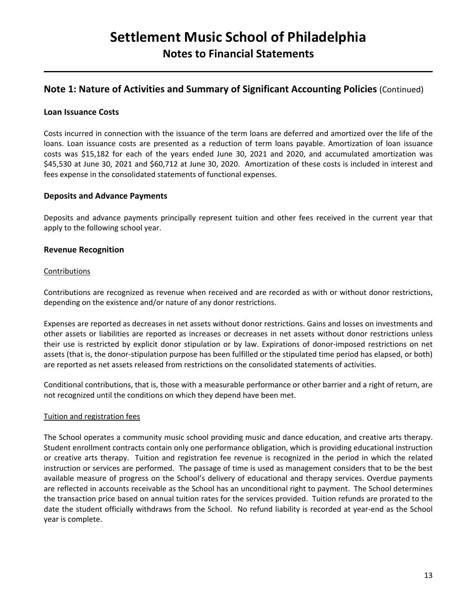### **Note 1: Nature of Activities and Summary of Significant Accounting Policies** (Continued)

### **Loan Issuance Costs**

Costs incurred in connection with the issuance of the term loans are deferred and amortized over the life of the loans. Loan issuance costs are presented as a reduction of term loans payable. Amortization of loan issuance costs was \$15,182 for each of the years ended June 30, 2021 and 2020, and accumulated amortization was \$45,530 at June 30, 2021 and \$60,712 at June 30, 2020. Amortization of these costs is included in interest and fees expense in the consolidated statements of functional expenses.

### **Deposits and Advance Payments**

Deposits and advance payments principally represent tuition and other fees received in the current year that apply to the following school year.

#### **Revenue Recognition**

#### Contributions

Contributions are recognized as revenue when received and are recorded as with or without donor restrictions, depending on the existence and/or nature of any donor restrictions.

Expenses are reported as decreases in net assets without donor restrictions. Gains and losses on investments and other assets or liabilities are reported as increases or decreases in net assets without donor restrictions unless their use is restricted by explicit donor stipulation or by law. Expirations of donor-imposed restrictions on net assets (that is, the donor-stipulation purpose has been fulfilled or the stipulated time period has elapsed, or both) are reported as net assets released from restrictions on the consolidated statements of activities.

Conditional contributions, that is, those with a measurable performance or other barrier and a right of return, are not recognized until the conditions on which they depend have been met.

#### Tuition and registration fees

The School operates a community music school providing music and dance education, and creative arts therapy. Student enrollment contracts contain only one performance obligation, which is providing educational instruction or creative arts therapy. Tuition and registration fee revenue is recognized in the period in which the related instruction or services are performed. The passage of time is used as management considers that to be the best available measure of progress on the School's delivery of educational and therapy services. Overdue payments are reflected in accounts receivable as the School has an unconditional right to payment. The School determines the transaction price based on annual tuition rates for the services provided. Tuition refunds are prorated to the date the student officially withdraws from the School. No refund liability is recorded at year-end as the School year is complete.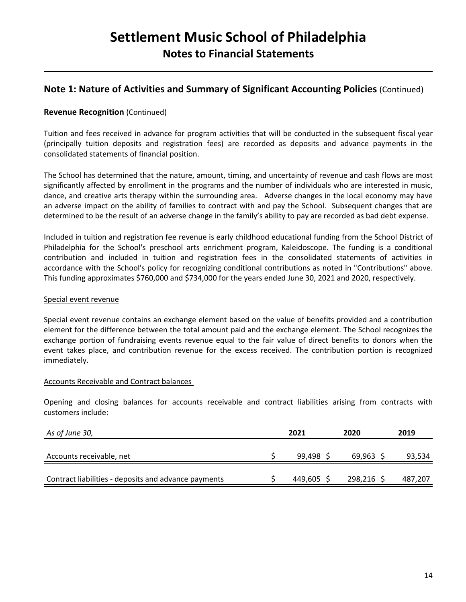### **Note 1: Nature of Activities and Summary of Significant Accounting Policies** (Continued)

### **Revenue Recognition** (Continued)

Tuition and fees received in advance for program activities that will be conducted in the subsequent fiscal year (principally tuition deposits and registration fees) are recorded as deposits and advance payments in the consolidated statements of financial position.

The School has determined that the nature, amount, timing, and uncertainty of revenue and cash flows are most significantly affected by enrollment in the programs and the number of individuals who are interested in music, dance, and creative arts therapy within the surrounding area. Adverse changes in the local economy may have an adverse impact on the ability of families to contract with and pay the School. Subsequent changes that are determined to be the result of an adverse change in the family's ability to pay are recorded as bad debt expense.

Included in tuition and registration fee revenue is early childhood educational funding from the School District of Philadelphia for the School's preschool arts enrichment program, Kaleidoscope. The funding is a conditional contribution and included in tuition and registration fees in the consolidated statements of activities in accordance with the School's policy for recognizing conditional contributions as noted in "Contributions" above. This funding approximates \$760,000 and \$734,000 for the years ended June 30, 2021 and 2020, respectively.

#### Special event revenue

Special event revenue contains an exchange element based on the value of benefits provided and a contribution element for the difference between the total amount paid and the exchange element. The School recognizes the exchange portion of fundraising events revenue equal to the fair value of direct benefits to donors when the event takes place, and contribution revenue for the excess received. The contribution portion is recognized immediately.

#### Accounts Receivable and Contract balances

Opening and closing balances for accounts receivable and contract liabilities arising from contracts with customers include:

| As of June 30,                                       | 2021      | 2020    | 2019    |  |
|------------------------------------------------------|-----------|---------|---------|--|
| Accounts receivable, net                             | 99.498 S  | 69.963  | 93,534  |  |
| Contract liabilities - deposits and advance payments | 449.605 S | 298,216 | 487,207 |  |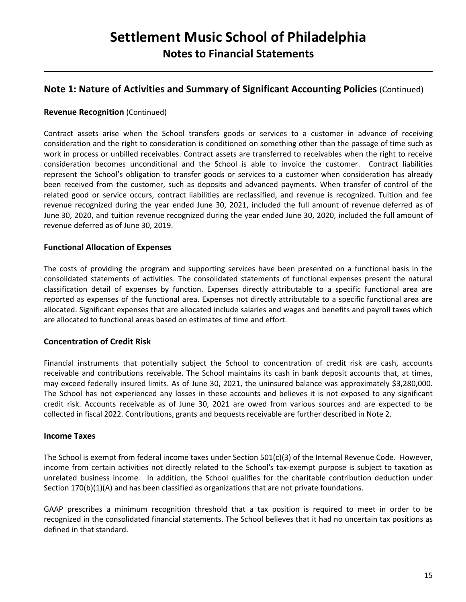### **Note 1: Nature of Activities and Summary of Significant Accounting Policies** (Continued)

### **Revenue Recognition** (Continued)

Contract assets arise when the School transfers goods or services to a customer in advance of receiving consideration and the right to consideration is conditioned on something other than the passage of time such as work in process or unbilled receivables. Contract assets are transferred to receivables when the right to receive consideration becomes unconditional and the School is able to invoice the customer. Contract liabilities represent the School's obligation to transfer goods or services to a customer when consideration has already been received from the customer, such as deposits and advanced payments. When transfer of control of the related good or service occurs, contract liabilities are reclassified, and revenue is recognized. Tuition and fee revenue recognized during the year ended June 30, 2021, included the full amount of revenue deferred as of June 30, 2020, and tuition revenue recognized during the year ended June 30, 2020, included the full amount of revenue deferred as of June 30, 2019.

### **Functional Allocation of Expenses**

The costs of providing the program and supporting services have been presented on a functional basis in the consolidated statements of activities. The consolidated statements of functional expenses present the natural classification detail of expenses by function. Expenses directly attributable to a specific functional area are reported as expenses of the functional area. Expenses not directly attributable to a specific functional area are allocated. Significant expenses that are allocated include salaries and wages and benefits and payroll taxes which are allocated to functional areas based on estimates of time and effort.

### **Concentration of Credit Risk**

Financial instruments that potentially subject the School to concentration of credit risk are cash, accounts receivable and contributions receivable. The School maintains its cash in bank deposit accounts that, at times, may exceed federally insured limits. As of June 30, 2021, the uninsured balance was approximately \$3,280,000. The School has not experienced any losses in these accounts and believes it is not exposed to any significant credit risk. Accounts receivable as of June 30, 2021 are owed from various sources and are expected to be collected in fiscal 2022. Contributions, grants and bequests receivable are further described in Note 2.

### **Income Taxes**

The School is exempt from federal income taxes under Section 501(c)(3) of the Internal Revenue Code. However, income from certain activities not directly related to the School's tax-exempt purpose is subject to taxation as unrelated business income. In addition, the School qualifies for the charitable contribution deduction under Section 170(b)(1)(A) and has been classified as organizations that are not private foundations.

GAAP prescribes a minimum recognition threshold that a tax position is required to meet in order to be recognized in the consolidated financial statements. The School believes that it had no uncertain tax positions as defined in that standard.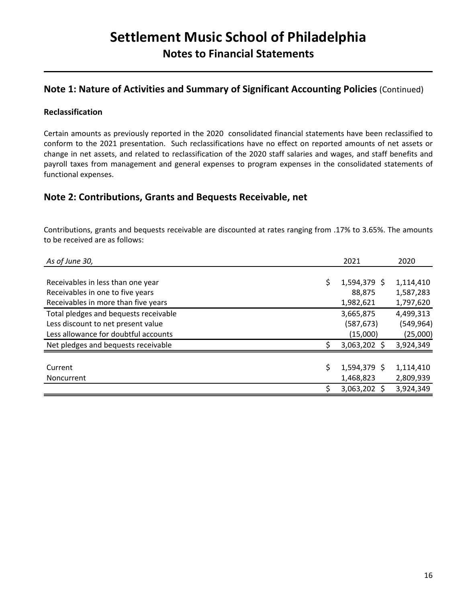### **Note 1: Nature of Activities and Summary of Significant Accounting Policies** (Continued)

### **Reclassification**

Certain amounts as previously reported in the 2020 consolidated financial statements have been reclassified to conform to the 2021 presentation. Such reclassifications have no effect on reported amounts of net assets or change in net assets, and related to reclassification of the 2020 staff salaries and wages, and staff benefits and payroll taxes from management and general expenses to program expenses in the consolidated statements of functional expenses.

### **Note 2: Contributions, Grants and Bequests Receivable, net**

Contributions, grants and bequests receivable are discounted at rates ranging from .17% to 3.65%. The amounts to be received are as follows:

| As of June 30,                        |    | 2021           | 2020       |
|---------------------------------------|----|----------------|------------|
|                                       |    |                |            |
| Receivables in less than one year     | \$ | 1,594,379 \$   | 1,114,410  |
| Receivables in one to five years      |    | 88,875         | 1,587,283  |
| Receivables in more than five years   |    | 1,982,621      | 1,797,620  |
| Total pledges and bequests receivable |    | 3,665,875      | 4,499,313  |
| Less discount to net present value    |    | (587, 673)     | (549, 964) |
| Less allowance for doubtful accounts  |    | (15,000)       | (25,000)   |
| Net pledges and bequests receivable   |    | 3,063,202      | 3,924,349  |
|                                       |    |                |            |
| Current                               | \$ | $1,594,379$ \$ | 1,114,410  |
| Noncurrent                            |    | 1,468,823      | 2,809,939  |
|                                       | Ś  | 3,063,202      | 3,924,349  |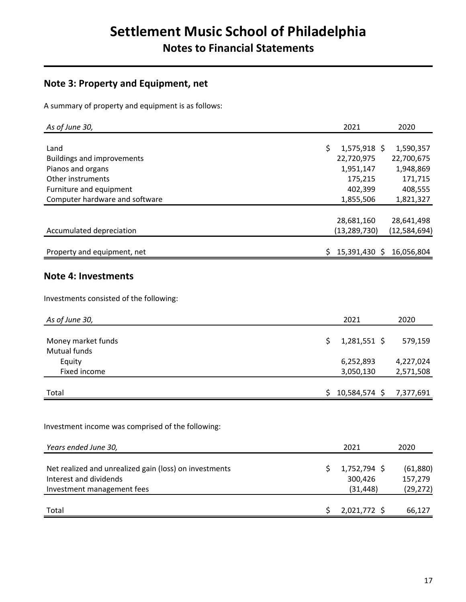## **Note 3: Property and Equipment, net**

A summary of property and equipment is as follows:

| As of June 30,                                         |     | 2021           | 2020         |
|--------------------------------------------------------|-----|----------------|--------------|
|                                                        |     |                |              |
| Land                                                   | \$  | 1,575,918 \$   | 1,590,357    |
| <b>Buildings and improvements</b>                      |     | 22,720,975     | 22,700,675   |
| Pianos and organs                                      |     | 1,951,147      | 1,948,869    |
| Other instruments                                      |     | 175,215        | 171,715      |
| Furniture and equipment                                |     | 402,399        | 408,555      |
| Computer hardware and software                         |     | 1,855,506      | 1,821,327    |
|                                                        |     |                |              |
|                                                        |     | 28,681,160     | 28,641,498   |
| Accumulated depreciation                               |     | (13, 289, 730) | (12,584,694) |
| Property and equipment, net                            | S   | 15,391,430 \$  | 16,056,804   |
|                                                        |     |                |              |
| <b>Note 4: Investments</b>                             |     |                |              |
|                                                        |     |                |              |
| Investments consisted of the following:                |     |                |              |
|                                                        |     |                |              |
| As of June 30,                                         |     | 2021           | 2020         |
|                                                        |     |                |              |
| Money market funds                                     | \$  | 1,281,551 \$   | 579,159      |
| Mutual funds                                           |     |                |              |
| Equity                                                 |     | 6,252,893      | 4,227,024    |
| Fixed income                                           |     | 3,050,130      | 2,571,508    |
|                                                        |     |                |              |
| Total                                                  | \$. | 10,584,574 \$  | 7,377,691    |
|                                                        |     |                |              |
|                                                        |     |                |              |
| Investment income was comprised of the following:      |     |                |              |
|                                                        |     |                |              |
| Years ended June 30,                                   |     | 2021           | 2020         |
| Net realized and unrealized gain (loss) on investments | \$  | 1,752,794 \$   | (61,880)     |
| Interest and dividends                                 |     | 300,426        | 157,279      |
|                                                        |     |                |              |
| Investment management fees                             |     | (31, 448)      | (29, 272)    |
| Total                                                  | \$  | 2,021,772 \$   | 66,127       |
|                                                        |     |                |              |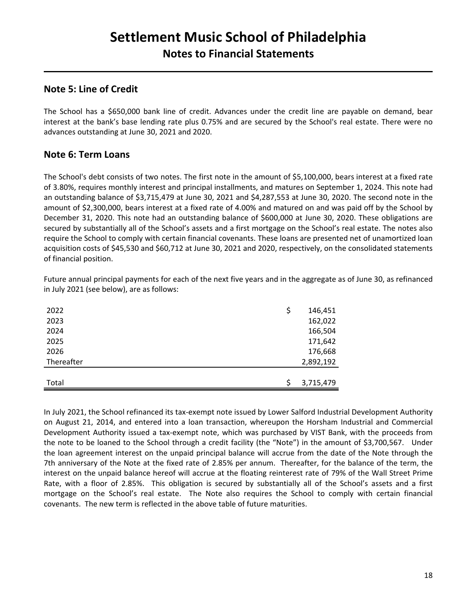### **Note 5: Line of Credit**

The School has a \$650,000 bank line of credit. Advances under the credit line are payable on demand, bear interest at the bank's base lending rate plus 0.75% and are secured by the School's real estate. There were no advances outstanding at June 30, 2021 and 2020.

### **Note 6: Term Loans**

The School's debt consists of two notes. The first note in the amount of \$5,100,000, bears interest at a fixed rate of 3.80%, requires monthly interest and principal installments, and matures on September 1, 2024. This note had an outstanding balance of \$3,715,479 at June 30, 2021 and \$4,287,553 at June 30, 2020. The second note in the amount of \$2,300,000, bears interest at a fixed rate of 4.00% and matured on and was paid off by the School by December 31, 2020. This note had an outstanding balance of \$600,000 at June 30, 2020. These obligations are secured by substantially all of the School's assets and a first mortgage on the School's real estate. The notes also require the School to comply with certain financial covenants. These loans are presented net of unamortized loan acquisition costs of \$45,530 and \$60,712 at June 30, 2021 and 2020, respectively, on the consolidated statements of financial position.

Future annual principal payments for each of the next five years and in the aggregate as of June 30, as refinanced in July 2021 (see below), are as follows:

| 2022       | \$<br>146,451 |
|------------|---------------|
| 2023       | 162,022       |
| 2024       | 166,504       |
| 2025       | 171,642       |
| 2026       | 176,668       |
| Thereafter | 2,892,192     |
|            |               |
| Total      | 3,715,479     |

In July 2021, the School refinanced its tax-exempt note issued by Lower Salford Industrial Development Authority on August 21, 2014, and entered into a loan transaction, whereupon the Horsham Industrial and Commercial Development Authority issued a tax-exempt note, which was purchased by VIST Bank, with the proceeds from the note to be loaned to the School through a credit facility (the "Note") in the amount of \$3,700,567. Under the loan agreement interest on the unpaid principal balance will accrue from the date of the Note through the 7th anniversary of the Note at the fixed rate of 2.85% per annum. Thereafter, for the balance of the term, the interest on the unpaid balance hereof will accrue at the floating reinterest rate of 79% of the Wall Street Prime Rate, with a floor of 2.85%. This obligation is secured by substantially all of the School's assets and a first mortgage on the School's real estate. The Note also requires the School to comply with certain financial covenants. The new term is reflected in the above table of future maturities.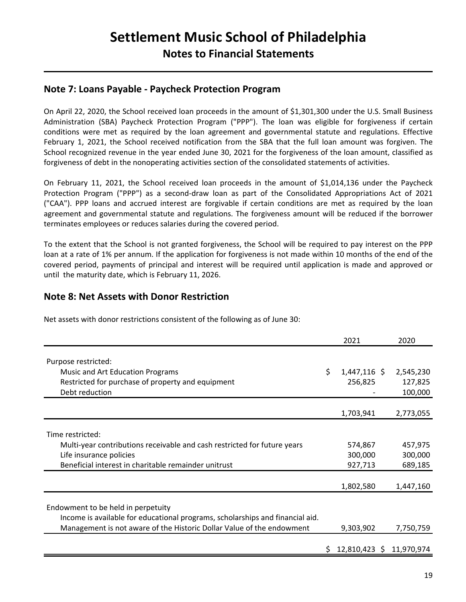### **Note 7: Loans Payable - Paycheck Protection Program**

On April 22, 2020, the School received loan proceeds in the amount of \$1,301,300 under the U.S. Small Business Administration (SBA) Paycheck Protection Program ("PPP"). The loan was eligible for forgiveness if certain conditions were met as required by the loan agreement and governmental statute and regulations. Effective February 1, 2021, the School received notification from the SBA that the full loan amount was forgiven. The School recognized revenue in the year ended June 30, 2021 for the forgiveness of the loan amount, classified as forgiveness of debt in the nonoperating activities section of the consolidated statements of activities.

On February 11, 2021, the School received loan proceeds in the amount of \$1,014,136 under the Paycheck Protection Program ("PPP") as a second-draw loan as part of the Consolidated Appropriations Act of 2021 ("CAA"). PPP loans and accrued interest are forgivable if certain conditions are met as required by the loan agreement and governmental statute and regulations. The forgiveness amount will be reduced if the borrower terminates employees or reduces salaries during the covered period.

To the extent that the School is not granted forgiveness, the School will be required to pay interest on the PPP loan at a rate of 1% per annum. If the application for forgiveness is not made within 10 months of the end of the covered period, payments of principal and interest will be required until application is made and approved or until the maturity date, which is February 11, 2026.

### **Note 8: Net Assets with Donor Restriction**

Net assets with donor restrictions consistent of the following as of June 30:

|                                                                               | 2021                 | 2020       |
|-------------------------------------------------------------------------------|----------------------|------------|
| Purpose restricted:                                                           |                      |            |
| Music and Art Education Programs                                              | \$<br>$1,447,116$ \$ | 2,545,230  |
| Restricted for purchase of property and equipment                             | 256,825              | 127,825    |
| Debt reduction                                                                |                      | 100,000    |
|                                                                               |                      |            |
|                                                                               | 1,703,941            | 2,773,055  |
|                                                                               |                      |            |
| Time restricted:                                                              |                      |            |
| Multi-year contributions receivable and cash restricted for future years      | 574,867              | 457,975    |
| Life insurance policies                                                       | 300,000              | 300,000    |
| Beneficial interest in charitable remainder unitrust                          | 927,713              | 689,185    |
|                                                                               |                      |            |
|                                                                               | 1,802,580            | 1,447,160  |
|                                                                               |                      |            |
| Endowment to be held in perpetuity                                            |                      |            |
| Income is available for educational programs, scholarships and financial aid. |                      |            |
| Management is not aware of the Historic Dollar Value of the endowment         | 9,303,902            | 7,750,759  |
|                                                                               |                      |            |
|                                                                               | 12,810,423 \$        | 11,970,974 |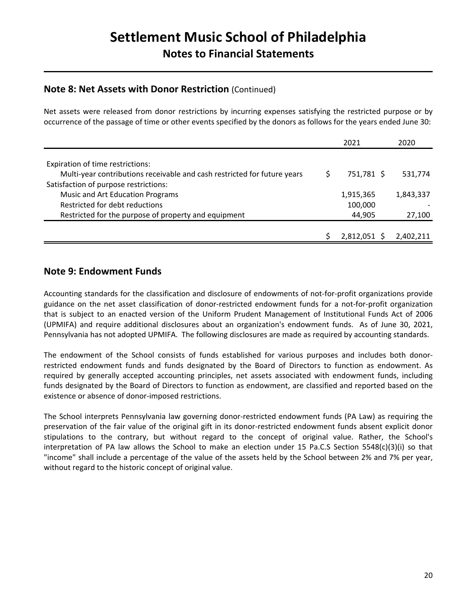### **Note 8: Net Assets with Donor Restriction** (Continued)

Net assets were released from donor restrictions by incurring expenses satisfying the restricted purpose or by occurrence of the passage of time or other events specified by the donors as follows for the years ended June 30:

|                                                                          | 2021       | 2020      |
|--------------------------------------------------------------------------|------------|-----------|
|                                                                          |            |           |
| Expiration of time restrictions:                                         |            |           |
| Multi-year contributions receivable and cash restricted for future years | 751,781 \$ | 531,774   |
| Satisfaction of purpose restrictions:                                    |            |           |
| <b>Music and Art Education Programs</b>                                  | 1,915,365  | 1,843,337 |
| Restricted for debt reductions                                           | 100,000    |           |
| Restricted for the purpose of property and equipment                     | 44,905     | 27,100    |
|                                                                          |            |           |
|                                                                          | 2.812.051  | 2.402.211 |

### **Note 9: Endowment Funds**

Accounting standards for the classification and disclosure of endowments of not-for-profit organizations provide guidance on the net asset classification of donor-restricted endowment funds for a not-for-profit organization that is subject to an enacted version of the Uniform Prudent Management of Institutional Funds Act of 2006 (UPMIFA) and require additional disclosures about an organization's endowment funds. As of June 30, 2021, Pennsylvania has not adopted UPMIFA. The following disclosures are made as required by accounting standards.

The endowment of the School consists of funds established for various purposes and includes both donorrestricted endowment funds and funds designated by the Board of Directors to function as endowment. As required by generally accepted accounting principles, net assets associated with endowment funds, including funds designated by the Board of Directors to function as endowment, are classified and reported based on the existence or absence of donor-imposed restrictions.

The School interprets Pennsylvania law governing donor-restricted endowment funds (PA Law) as requiring the preservation of the fair value of the original gift in its donor-restricted endowment funds absent explicit donor stipulations to the contrary, but without regard to the concept of original value. Rather, the School's interpretation of PA law allows the School to make an election under 15 Pa.C.S Section 5548(c)(3)(i) so that "income" shall include a percentage of the value of the assets held by the School between 2% and 7% per year, without regard to the historic concept of original value.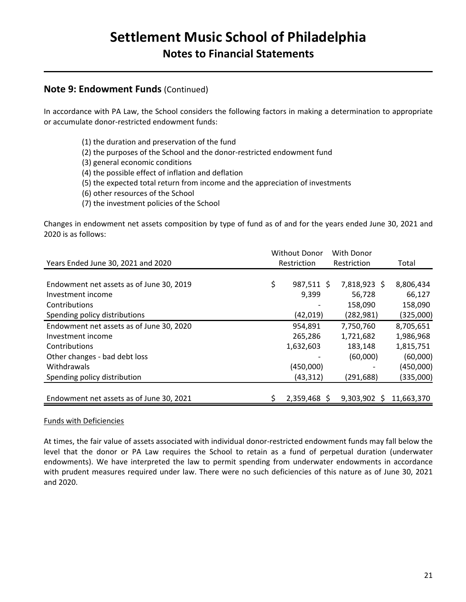### **Note 9: Endowment Funds** (Continued)

In accordance with PA Law, the School considers the following factors in making a determination to appropriate or accumulate donor-restricted endowment funds:

- (1) the duration and preservation of the fund
- (2) the purposes of the School and the donor-restricted endowment fund
- (3) general economic conditions
- (4) the possible effect of inflation and deflation
- (5) the expected total return from income and the appreciation of investments
- (6) other resources of the School
- (7) the investment policies of the School

Changes in endowment net assets composition by type of fund as of and for the years ended June 30, 2021 and 2020 is as follows:

|                                          |    | <b>Without Donor</b> | With Donor     |            |
|------------------------------------------|----|----------------------|----------------|------------|
| Years Ended June 30, 2021 and 2020       |    | Restriction          | Restriction    | Total      |
|                                          |    |                      |                |            |
| Endowment net assets as of June 30, 2019 | \$ | $987,511$ \$         | 7,818,923 \$   | 8,806,434  |
| Investment income                        |    | 9,399                | 56,728         | 66,127     |
| Contributions                            |    |                      | 158,090        | 158,090    |
| Spending policy distributions            |    | (42, 019)            | (282, 981)     | (325,000)  |
| Endowment net assets as of June 30, 2020 |    | 954,891              | 7,750,760      | 8,705,651  |
| Investment income                        |    | 265,286              | 1,721,682      | 1,986,968  |
| Contributions                            |    | 1,632,603            | 183,148        | 1,815,751  |
| Other changes - bad debt loss            |    |                      | (60,000)       | (60,000)   |
| Withdrawals                              |    | (450,000)            |                | (450,000)  |
| Spending policy distribution             |    | (43, 312)            | (291, 688)     | (335,000)  |
|                                          |    |                      |                |            |
| Endowment net assets as of June 30, 2021 | S. | 2,359,468<br>S       | $9,303,902$ \$ | 11,663,370 |

#### Funds with Deficiencies

At times, the fair value of assets associated with individual donor-restricted endowment funds may fall below the level that the donor or PA Law requires the School to retain as a fund of perpetual duration (underwater endowments). We have interpreted the law to permit spending from underwater endowments in accordance with prudent measures required under law. There were no such deficiencies of this nature as of June 30, 2021 and 2020.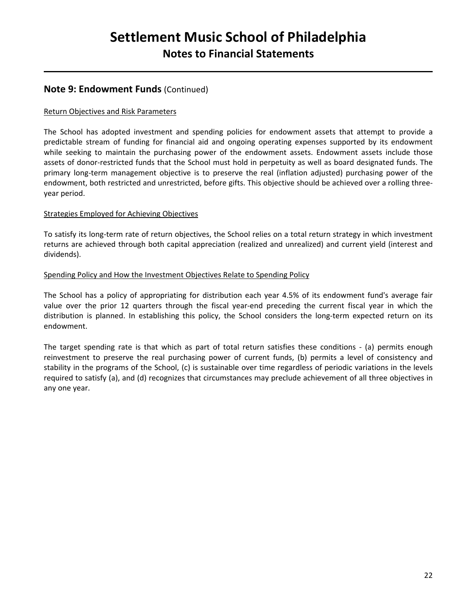### **Note 9: Endowment Funds** (Continued)

### Return Objectives and Risk Parameters

The School has adopted investment and spending policies for endowment assets that attempt to provide a predictable stream of funding for financial aid and ongoing operating expenses supported by its endowment while seeking to maintain the purchasing power of the endowment assets. Endowment assets include those assets of donor-restricted funds that the School must hold in perpetuity as well as board designated funds. The primary long-term management objective is to preserve the real (inflation adjusted) purchasing power of the endowment, both restricted and unrestricted, before gifts. This objective should be achieved over a rolling threeyear period.

### Strategies Employed for Achieving Objectives

To satisfy its long-term rate of return objectives, the School relies on a total return strategy in which investment returns are achieved through both capital appreciation (realized and unrealized) and current yield (interest and dividends).

#### Spending Policy and How the Investment Objectives Relate to Spending Policy

The School has a policy of appropriating for distribution each year 4.5% of its endowment fund's average fair value over the prior 12 quarters through the fiscal year-end preceding the current fiscal year in which the distribution is planned. In establishing this policy, the School considers the long-term expected return on its endowment.

The target spending rate is that which as part of total return satisfies these conditions - (a) permits enough reinvestment to preserve the real purchasing power of current funds, (b) permits a level of consistency and stability in the programs of the School, (c) is sustainable over time regardless of periodic variations in the levels required to satisfy (a), and (d) recognizes that circumstances may preclude achievement of all three objectives in any one year.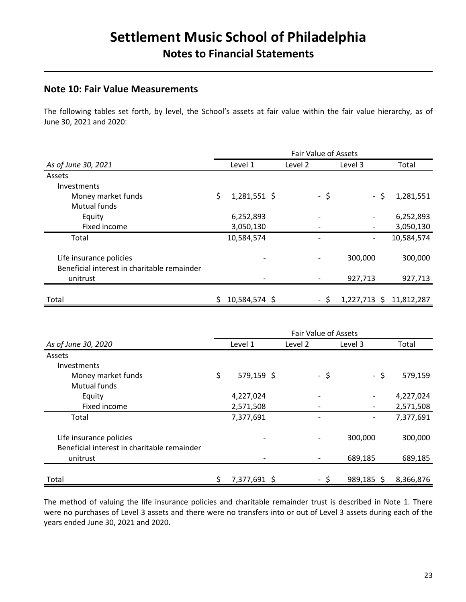### **Note 10: Fair Value Measurements**

The following tables set forth, by level, the School's assets at fair value within the fair value hierarchy, as of June 30, 2021 and 2020:

|                                                                        | <b>Fair Value of Assets</b> |                |         |      |                |            |
|------------------------------------------------------------------------|-----------------------------|----------------|---------|------|----------------|------------|
| As of June 30, 2021                                                    |                             | Level 1        | Level 2 |      | Level 3        | Total      |
| Assets                                                                 |                             |                |         |      |                |            |
| Investments                                                            |                             |                |         |      |                |            |
| Money market funds                                                     | \$                          | $1,281,551$ \$ |         | $-5$ | - \$           | 1,281,551  |
| Mutual funds                                                           |                             |                |         |      |                |            |
| Equity                                                                 |                             | 6,252,893      |         |      |                | 6,252,893  |
| Fixed income                                                           |                             | 3,050,130      |         |      |                | 3,050,130  |
| Total                                                                  |                             | 10,584,574     |         |      | -              | 10,584,574 |
| Life insurance policies<br>Beneficial interest in charitable remainder |                             |                |         |      | 300,000        | 300,000    |
| unitrust                                                               |                             | -              |         |      | 927,713        | 927,713    |
|                                                                        |                             |                |         |      |                |            |
| Total                                                                  | \$                          | 10,584,574 \$  |         | -\$  | $1,227,713$ \$ | 11,812,287 |

|                                                                        | <b>Fair Value of Assets</b> |              |         |                          |           |
|------------------------------------------------------------------------|-----------------------------|--------------|---------|--------------------------|-----------|
| As of June 30, 2020                                                    |                             | Level 1      | Level 2 | Level 3                  | Total     |
| Assets                                                                 |                             |              |         |                          |           |
| Investments                                                            |                             |              |         |                          |           |
| Money market funds                                                     | \$                          | 579,159 \$   | - \$    | - \$                     | 579,159   |
| Mutual funds                                                           |                             |              |         |                          |           |
| Equity                                                                 |                             | 4,227,024    |         | -                        | 4,227,024 |
| Fixed income                                                           |                             | 2,571,508    |         | $\overline{\phantom{a}}$ | 2,571,508 |
| Total                                                                  |                             | 7,377,691    |         |                          | 7,377,691 |
| Life insurance policies<br>Beneficial interest in charitable remainder |                             |              |         | 300,000                  | 300,000   |
| unitrust                                                               |                             |              |         | 689,185                  | 689,185   |
| Total                                                                  | S                           | 7,377,691 \$ | -\$     | 989,185 \$               | 8,366,876 |

The method of valuing the life insurance policies and charitable remainder trust is described in Note 1. There were no purchases of Level 3 assets and there were no transfers into or out of Level 3 assets during each of the years ended June 30, 2021 and 2020.